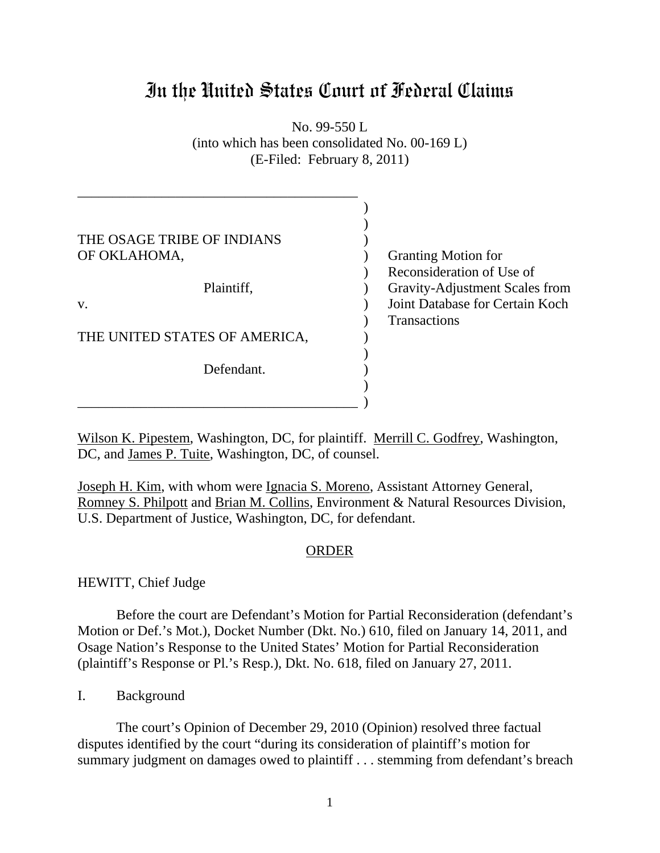## In the United States Court of Federal Claims

No. 99-550 L (into which has been consolidated No. 00-169 L) (E-Filed: February 8, 2011)

| THE OSAGE TRIBE OF INDIANS    |                                 |
|-------------------------------|---------------------------------|
| OF OKLAHOMA,                  | <b>Granting Motion for</b>      |
|                               | Reconsideration of Use of       |
| Plaintiff,                    | Gravity-Adjustment Scales from  |
| V.                            | Joint Database for Certain Koch |
|                               | <b>Transactions</b>             |
| THE UNITED STATES OF AMERICA, |                                 |
|                               |                                 |
| Defendant.                    |                                 |
|                               |                                 |
|                               |                                 |

Wilson K. Pipestem, Washington, DC, for plaintiff. Merrill C. Godfrey, Washington, DC, and James P. Tuite, Washington, DC, of counsel.

Joseph H. Kim, with whom were Ignacia S. Moreno, Assistant Attorney General, Romney S. Philpott and Brian M. Collins, Environment & Natural Resources Division, U.S. Department of Justice, Washington, DC, for defendant.

## ORDER

HEWITT, Chief Judge

Before the court are Defendant's Motion for Partial Reconsideration (defendant's Motion or Def.'s Mot.), Docket Number (Dkt. No.) 610, filed on January 14, 2011, and Osage Nation's Response to the United States' Motion for Partial Reconsideration (plaintiff's Response or Pl.'s Resp.), Dkt. No. 618, filed on January 27, 2011.

I. Background

The court's Opinion of December 29, 2010 (Opinion) resolved three factual disputes identified by the court "during its consideration of plaintiff's motion for summary judgment on damages owed to plaintiff . . . stemming from defendant's breach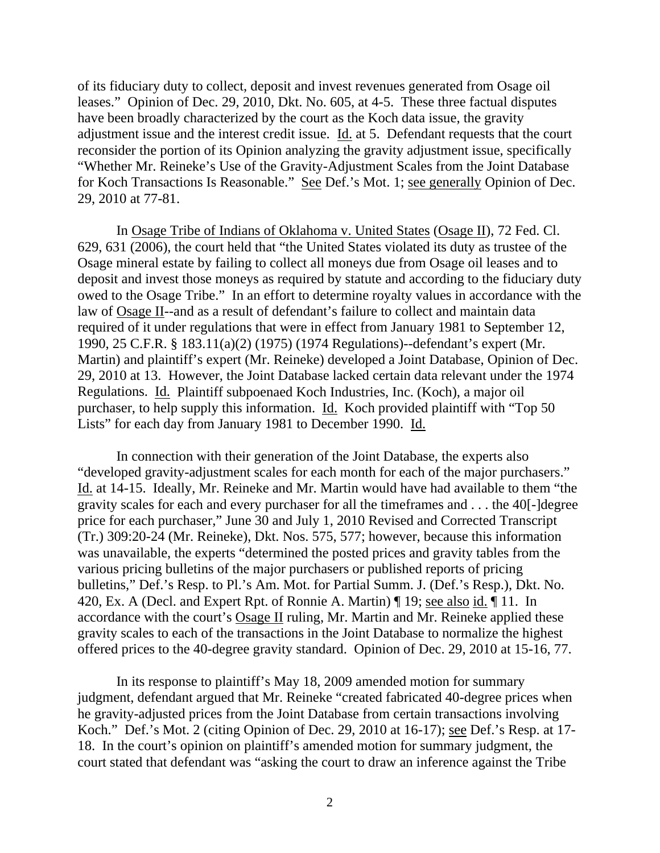of its fiduciary duty to collect, deposit and invest revenues generated from Osage oil leases." Opinion of Dec. 29, 2010, Dkt. No. 605, at 4-5. These three factual disputes have been broadly characterized by the court as the Koch data issue, the gravity adjustment issue and the interest credit issue. Id. at 5. Defendant requests that the court reconsider the portion of its Opinion analyzing the gravity adjustment issue, specifically "Whether Mr. Reineke's Use of the Gravity-Adjustment Scales from the Joint Database for Koch Transactions Is Reasonable." See Def.'s Mot. 1; see generally Opinion of Dec. 29, 2010 at 77-81.

In Osage Tribe of Indians of Oklahoma v. United States (Osage II), 72 Fed. Cl. 629, 631 (2006), the court held that "the United States violated its duty as trustee of the Osage mineral estate by failing to collect all moneys due from Osage oil leases and to deposit and invest those moneys as required by statute and according to the fiduciary duty owed to the Osage Tribe." In an effort to determine royalty values in accordance with the law of Osage II--and as a result of defendant's failure to collect and maintain data required of it under regulations that were in effect from January 1981 to September 12, 1990, 25 C.F.R. § 183.11(a)(2) (1975) (1974 Regulations)--defendant's expert (Mr. Martin) and plaintiff's expert (Mr. Reineke) developed a Joint Database, Opinion of Dec. 29, 2010 at 13. However, the Joint Database lacked certain data relevant under the 1974 Regulations. Id. Plaintiff subpoenaed Koch Industries, Inc. (Koch), a major oil purchaser, to help supply this information. Id. Koch provided plaintiff with "Top 50 Lists" for each day from January 1981 to December 1990. Id.

In connection with their generation of the Joint Database, the experts also "developed gravity-adjustment scales for each month for each of the major purchasers." Id. at 14-15. Ideally, Mr. Reineke and Mr. Martin would have had available to them "the gravity scales for each and every purchaser for all the timeframes and . . . the 40[-]degree price for each purchaser," June 30 and July 1, 2010 Revised and Corrected Transcript (Tr.) 309:20-24 (Mr. Reineke), Dkt. Nos. 575, 577; however, because this information was unavailable, the experts "determined the posted prices and gravity tables from the various pricing bulletins of the major purchasers or published reports of pricing bulletins," Def.'s Resp. to Pl.'s Am. Mot. for Partial Summ. J. (Def.'s Resp.), Dkt. No. 420, Ex. A (Decl. and Expert Rpt. of Ronnie A. Martin) ¶ 19; see also id. ¶ 11. In accordance with the court's Osage II ruling, Mr. Martin and Mr. Reineke applied these gravity scales to each of the transactions in the Joint Database to normalize the highest offered prices to the 40-degree gravity standard. Opinion of Dec. 29, 2010 at 15-16, 77.

In its response to plaintiff's May 18, 2009 amended motion for summary judgment, defendant argued that Mr. Reineke "created fabricated 40-degree prices when he gravity-adjusted prices from the Joint Database from certain transactions involving Koch." Def.'s Mot. 2 (citing Opinion of Dec. 29, 2010 at 16-17); see Def.'s Resp. at 17- 18. In the court's opinion on plaintiff's amended motion for summary judgment, the court stated that defendant was "asking the court to draw an inference against the Tribe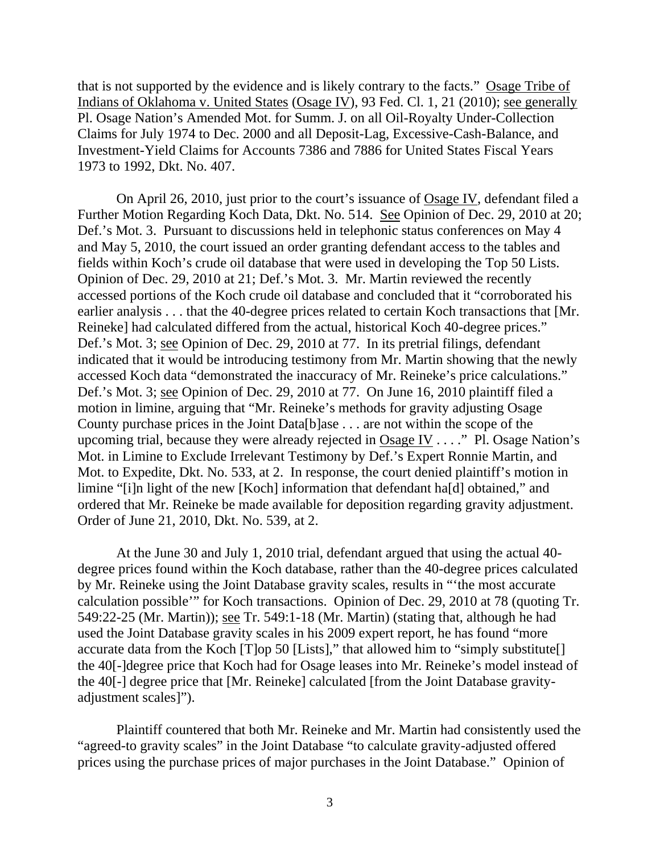that is not supported by the evidence and is likely contrary to the facts." Osage Tribe of Indians of Oklahoma v. United States (Osage IV), 93 Fed. Cl. 1, 21 (2010); see generally Pl. Osage Nation's Amended Mot. for Summ. J. on all Oil-Royalty Under-Collection Claims for July 1974 to Dec. 2000 and all Deposit-Lag, Excessive-Cash-Balance, and Investment-Yield Claims for Accounts 7386 and 7886 for United States Fiscal Years 1973 to 1992, Dkt. No. 407.

On April 26, 2010, just prior to the court's issuance of Osage IV, defendant filed a Further Motion Regarding Koch Data, Dkt. No. 514. See Opinion of Dec. 29, 2010 at 20; Def.'s Mot. 3. Pursuant to discussions held in telephonic status conferences on May 4 and May 5, 2010, the court issued an order granting defendant access to the tables and fields within Koch's crude oil database that were used in developing the Top 50 Lists. Opinion of Dec. 29, 2010 at 21; Def.'s Mot. 3. Mr. Martin reviewed the recently accessed portions of the Koch crude oil database and concluded that it "corroborated his earlier analysis . . . that the 40-degree prices related to certain Koch transactions that [Mr. Reineke] had calculated differed from the actual, historical Koch 40-degree prices." Def.'s Mot. 3; see Opinion of Dec. 29, 2010 at 77. In its pretrial filings, defendant indicated that it would be introducing testimony from Mr. Martin showing that the newly accessed Koch data "demonstrated the inaccuracy of Mr. Reineke's price calculations." Def.'s Mot. 3; see Opinion of Dec. 29, 2010 at 77. On June 16, 2010 plaintiff filed a motion in limine, arguing that "Mr. Reineke's methods for gravity adjusting Osage County purchase prices in the Joint Data[b]ase . . . are not within the scope of the upcoming trial, because they were already rejected in Osage IV . . . ." Pl. Osage Nation's Mot. in Limine to Exclude Irrelevant Testimony by Def.'s Expert Ronnie Martin, and Mot. to Expedite, Dkt. No. 533, at 2. In response, the court denied plaintiff's motion in limine "[i]n light of the new [Koch] information that defendant ha[d] obtained," and ordered that Mr. Reineke be made available for deposition regarding gravity adjustment. Order of June 21, 2010, Dkt. No. 539, at 2.

At the June 30 and July 1, 2010 trial, defendant argued that using the actual 40 degree prices found within the Koch database, rather than the 40-degree prices calculated by Mr. Reineke using the Joint Database gravity scales, results in "'the most accurate calculation possible'" for Koch transactions. Opinion of Dec. 29, 2010 at 78 (quoting Tr. 549:22-25 (Mr. Martin)); see Tr. 549:1-18 (Mr. Martin) (stating that, although he had used the Joint Database gravity scales in his 2009 expert report, he has found "more accurate data from the Koch [T]op 50 [Lists]," that allowed him to "simply substitute[] the 40[-]degree price that Koch had for Osage leases into Mr. Reineke's model instead of the 40[-] degree price that [Mr. Reineke] calculated [from the Joint Database gravityadjustment scales]").

Plaintiff countered that both Mr. Reineke and Mr. Martin had consistently used the "agreed-to gravity scales" in the Joint Database "to calculate gravity-adjusted offered prices using the purchase prices of major purchases in the Joint Database." Opinion of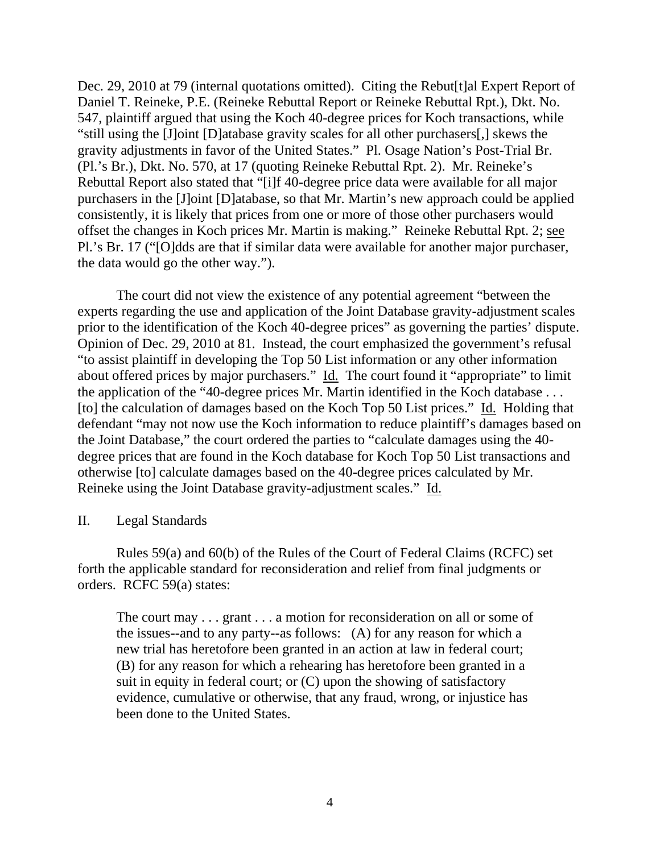Dec. 29, 2010 at 79 (internal quotations omitted). Citing the Rebut<sup>[t]</sup>al Expert Report of Daniel T. Reineke, P.E. (Reineke Rebuttal Report or Reineke Rebuttal Rpt.), Dkt. No. 547, plaintiff argued that using the Koch 40-degree prices for Koch transactions, while "still using the [J]oint [D]atabase gravity scales for all other purchasers[,] skews the gravity adjustments in favor of the United States." Pl. Osage Nation's Post-Trial Br. (Pl.'s Br.), Dkt. No. 570, at 17 (quoting Reineke Rebuttal Rpt. 2). Mr. Reineke's Rebuttal Report also stated that "[i]f 40-degree price data were available for all major purchasers in the [J]oint [D]atabase, so that Mr. Martin's new approach could be applied consistently, it is likely that prices from one or more of those other purchasers would offset the changes in Koch prices Mr. Martin is making." Reineke Rebuttal Rpt. 2; see Pl.'s Br. 17 ("[O]dds are that if similar data were available for another major purchaser, the data would go the other way.").

The court did not view the existence of any potential agreement "between the experts regarding the use and application of the Joint Database gravity-adjustment scales prior to the identification of the Koch 40-degree prices" as governing the parties' dispute. Opinion of Dec. 29, 2010 at 81. Instead, the court emphasized the government's refusal "to assist plaintiff in developing the Top 50 List information or any other information about offered prices by major purchasers." Id. The court found it "appropriate" to limit the application of the "40-degree prices Mr. Martin identified in the Koch database . . . [to] the calculation of damages based on the Koch Top 50 List prices." Id. Holding that defendant "may not now use the Koch information to reduce plaintiff's damages based on the Joint Database," the court ordered the parties to "calculate damages using the 40 degree prices that are found in the Koch database for Koch Top 50 List transactions and otherwise [to] calculate damages based on the 40-degree prices calculated by Mr. Reineke using the Joint Database gravity-adjustment scales." Id.

## II. Legal Standards

Rules 59(a) and 60(b) of the Rules of the Court of Federal Claims (RCFC) set forth the applicable standard for reconsideration and relief from final judgments or orders. RCFC 59(a) states:

The court may . . . grant . . . a motion for reconsideration on all or some of the issues--and to any party--as follows: (A) for any reason for which a new trial has heretofore been granted in an action at law in federal court; (B) for any reason for which a rehearing has heretofore been granted in a suit in equity in federal court; or (C) upon the showing of satisfactory evidence, cumulative or otherwise, that any fraud, wrong, or injustice has been done to the United States.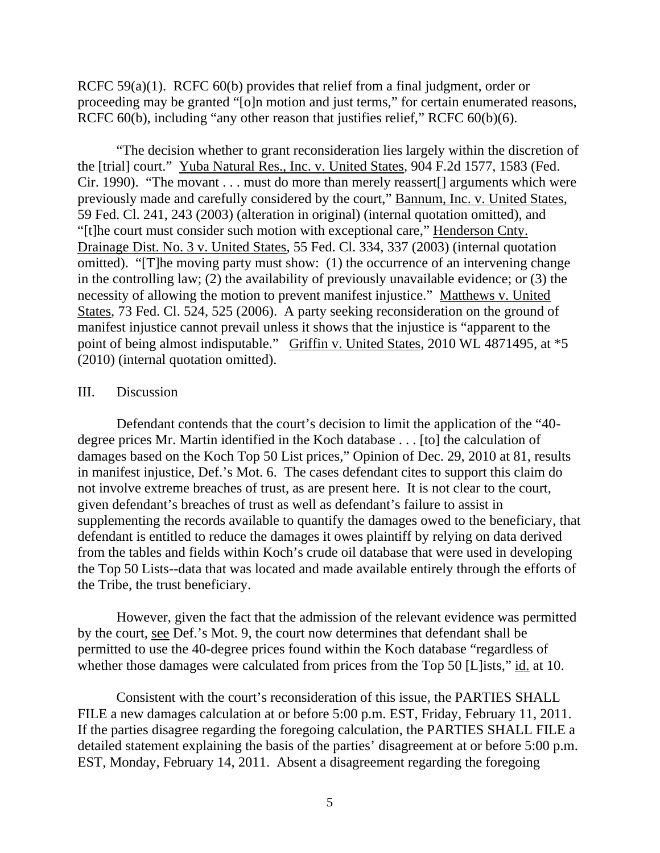RCFC 59(a)(1). RCFC 60(b) provides that relief from a final judgment, order or proceeding may be granted "[o]n motion and just terms," for certain enumerated reasons, RCFC 60(b), including "any other reason that justifies relief," RCFC 60(b)(6).

"The decision whether to grant reconsideration lies largely within the discretion of the [trial] court." Yuba Natural Res., Inc. v. United States, 904 F.2d 1577, 1583 (Fed. Cir. 1990). "The movant . . . must do more than merely reassert[] arguments which were previously made and carefully considered by the court," Bannum, Inc. v. United States, 59 Fed. Cl. 241, 243 (2003) (alteration in original) (internal quotation omitted), and "[t]he court must consider such motion with exceptional care," Henderson Cnty. Drainage Dist. No. 3 v. United States, 55 Fed. Cl. 334, 337 (2003) (internal quotation omitted). "[T]he moving party must show: (1) the occurrence of an intervening change in the controlling law; (2) the availability of previously unavailable evidence; or (3) the necessity of allowing the motion to prevent manifest injustice." Matthews v. United States, 73 Fed. Cl. 524, 525 (2006). A party seeking reconsideration on the ground of manifest injustice cannot prevail unless it shows that the injustice is "apparent to the point of being almost indisputable." Griffin v. United States, 2010 WL 4871495, at \*5 (2010) (internal quotation omitted).

## III. Discussion

Defendant contends that the court's decision to limit the application of the "40 degree prices Mr. Martin identified in the Koch database . . . [to] the calculation of damages based on the Koch Top 50 List prices," Opinion of Dec. 29, 2010 at 81, results in manifest injustice, Def.'s Mot. 6. The cases defendant cites to support this claim do not involve extreme breaches of trust, as are present here. It is not clear to the court, given defendant's breaches of trust as well as defendant's failure to assist in supplementing the records available to quantify the damages owed to the beneficiary, that defendant is entitled to reduce the damages it owes plaintiff by relying on data derived from the tables and fields within Koch's crude oil database that were used in developing the Top 50 Lists--data that was located and made available entirely through the efforts of the Tribe, the trust beneficiary.

However, given the fact that the admission of the relevant evidence was permitted by the court, see Def.'s Mot. 9, the court now determines that defendant shall be permitted to use the 40-degree prices found within the Koch database "regardless of whether those damages were calculated from prices from the Top 50 [L]ists," id. at 10.

Consistent with the court's reconsideration of this issue, the PARTIES SHALL FILE a new damages calculation at or before 5:00 p.m. EST, Friday, February 11, 2011. If the parties disagree regarding the foregoing calculation, the PARTIES SHALL FILE a detailed statement explaining the basis of the parties' disagreement at or before 5:00 p.m. EST, Monday, February 14, 2011. Absent a disagreement regarding the foregoing